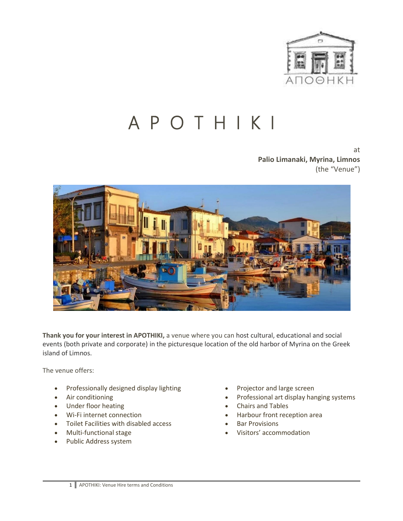

## A P O T H I K I

at **Palio Limanaki, Myrina, Limnos** (the "Venue")



**Thank you for your interest in APOTHIKI,** a venue where you can host cultural, educational and social events (both private and corporate) in the picturesque location of the old harbor of Myrina on the Greek island of Limnos.

The venue offers:

- Professionally designed display lighting
- Air conditioning
- Under floor heating
- Wi-Fi internet connection
- Toilet Facilities with disabled access
- Multi-functional stage
- Public Address system
- Projector and large screen
- Professional art display hanging systems
- Chairs and Tables
- Harbour front reception area
- **Bar Provisions**
- Visitors' accommodation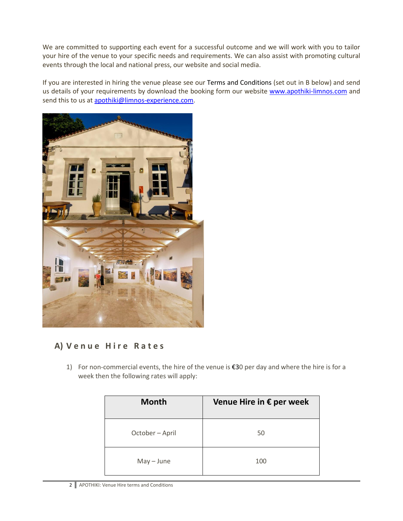We are committed to supporting each event for a successful outcome and we will work with you to tailor your hire of the venue to your specific needs and requirements. We can also assist with promoting cultural events through the local and national press, our website and social media.

If you are interested in hiring the venue please see our [Terms and Conditions](https://media.wix.com/ugd/263876_fb3689a63b594cd89204d56471c5b47b.pdf) (set out in B below) and send us details of your requirements by download the booking form our website [www.apothiki-limnos.com](http://www.apothiki-limnos.com/) and send this to us a[t apothiki@limnos-experience.com.](mailto:apothiki@limnos-experience.com)



## **A) V e n u e H i r e R a t e s**

1) For non-commercial events, the hire of the venue is €30 per day and where the hire is for a week then the following rates will apply:

| <b>Month</b>    | Venue Hire in € per week |
|-----------------|--------------------------|
| October - April | 50                       |
| $May - June$    | 100                      |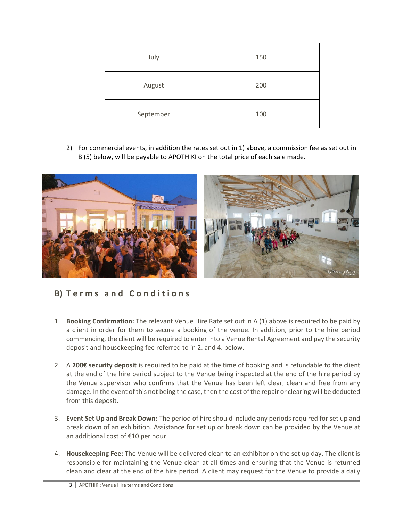| July      | 150 |
|-----------|-----|
| August    | 200 |
| September | 100 |

2) For commercial events, in addition the rates set out in 1) above, a commission fee as set out in B (5) below, will be payable to APOTHIKI on the total price of each sale made.



## **B) T e r m s a n d C o n d i t i o n s**

- 1. **Booking Confirmation:** The relevant Venue Hire Rate set out in A (1) above is required to be paid by a client in order for them to secure a booking of the venue. In addition, prior to the hire period commencing, the client will be required to enter into a Venue Rental Agreement and pay the security deposit and housekeeping fee referred to in 2. and 4. below.
- 2. A **200€ security deposit** is required to be paid at the time of booking and is refundable to the client at the end of the hire period subject to the Venue being inspected at the end of the hire period by the Venue supervisor who confirms that the Venue has been left clear, clean and free from any damage. In the event of this not being the case, then the cost of the repair or clearing will be deducted from this deposit.
- 3. **Event Set Up and Break Down:** The period of hire should include any periods required for set up and break down of an exhibition. Assistance for set up or break down can be provided by the Venue at an additional cost of €10 per hour.
- 4. **Housekeeping Fee:** The Venue will be delivered clean to an exhibitor on the set up day. The client is responsible for maintaining the Venue clean at all times and ensuring that the Venue is returned clean and clear at the end of the hire period. A client may request for the Venue to provide a daily